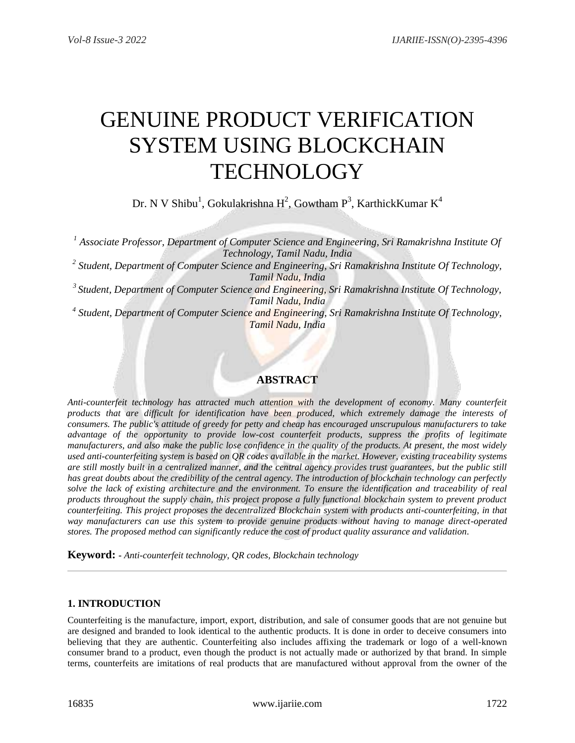# GENUINE PRODUCT VERIFICATION SYSTEM USING BLOCKCHAIN **TECHNOLOGY**

Dr. N V Shibu<sup>1</sup>, Gokulakrishna H<sup>2</sup>, Gowtham P<sup>3</sup>, KarthickKumar K<sup>4</sup>

*<sup>1</sup> Associate Professor, Department of Computer Science and Engineering, Sri Ramakrishna Institute Of Technology, Tamil Nadu, India 2 Student, Department of Computer Science and Engineering, Sri Ramakrishna Institute Of Technology, Tamil Nadu, India 3 Student, Department of Computer Science and Engineering, Sri Ramakrishna Institute Of Technology, Tamil Nadu, India 4 Student, Department of Computer Science and Engineering, Sri Ramakrishna Institute Of Technology, Tamil Nadu, India*

# **ABSTRACT**

*Anti-counterfeit technology has attracted much attention with the development of economy. Many counterfeit products that are difficult for identification have been produced, which extremely damage the interests of consumers. The public's attitude of greedy for petty and cheap has encouraged unscrupulous manufacturers to take advantage of the opportunity to provide low-cost counterfeit products, suppress the profits of legitimate manufacturers, and also make the public lose confidence in the quality of the products. At present, the most widely used anti-counterfeiting system is based on QR codes available in the market. However, existing traceability systems are still mostly built in a centralized manner, and the central agency provides trust guarantees, but the public still has great doubts about the credibility of the central agency. The introduction of blockchain technology can perfectly*  solve the lack of existing architecture and the environment. To ensure the identification and traceability of real *products throughout the supply chain, this project propose a fully functional blockchain system to prevent product counterfeiting. This project proposes the decentralized Blockchain system with products anti-counterfeiting, in that way manufacturers can use this system to provide genuine products without having to manage direct-operated stores. The proposed method can significantly reduce the cost of product quality assurance and validation.*

**Keyword: -** *Anti-counterfeit technology, QR codes, Blockchain technology*

# **1. INTRODUCTION**

Counterfeiting is the manufacture, import, export, distribution, and sale of consumer goods that are not genuine but are designed and branded to look identical to the authentic products. It is done in order to deceive consumers into believing that they are authentic. Counterfeiting also includes affixing the trademark or logo of a well-known consumer brand to a product, even though the product is not actually made or authorized by that brand. In simple terms, counterfeits are imitations of real products that are manufactured without approval from the owner of the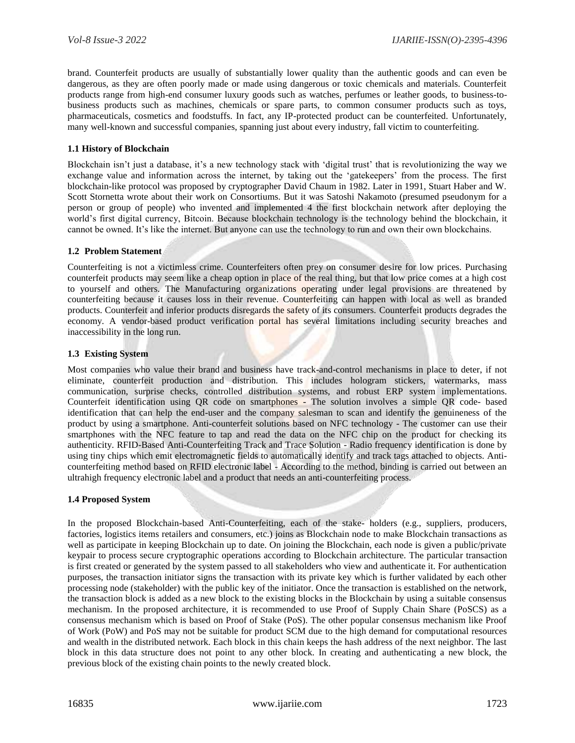brand. Counterfeit products are usually of substantially lower quality than the authentic goods and can even be dangerous, as they are often poorly made or made using dangerous or toxic chemicals and materials. Counterfeit products range from high-end consumer luxury goods such as watches, perfumes or leather goods, to business-tobusiness products such as machines, chemicals or spare parts, to common consumer products such as toys, pharmaceuticals, cosmetics and foodstuffs. In fact, any IP-protected product can be counterfeited. Unfortunately, many well-known and successful companies, spanning just about every industry, fall victim to counterfeiting.

#### **1.1 History of Blockchain**

Blockchain isn't just a database, it's a new technology stack with 'digital trust' that is revolutionizing the way we exchange value and information across the internet, by taking out the 'gatekeepers' from the process. The first blockchain-like protocol was proposed by cryptographer David Chaum in 1982. Later in 1991, Stuart Haber and W. Scott Stornetta wrote about their work on Consortiums. But it was Satoshi Nakamoto (presumed pseudonym for a person or group of people) who invented and implemented 4 the first blockchain network after deploying the world's first digital currency, Bitcoin. Because blockchain technology is the technology behind the blockchain, it cannot be owned. It's like the internet. But anyone can use the technology to run and own their own blockchains.

#### **1.2 Problem Statement**

Counterfeiting is not a victimless crime. Counterfeiters often prey on consumer desire for low prices. Purchasing counterfeit products may seem like a cheap option in place of the real thing, but that low price comes at a high cost to yourself and others. The Manufacturing organizations operating under legal provisions are threatened by counterfeiting because it causes loss in their revenue. Counterfeiting can happen with local as well as branded products. Counterfeit and inferior products disregards the safety of its consumers. Counterfeit products degrades the economy. A vendor-based product verification portal has several limitations including security breaches and inaccessibility in the long run.

#### **1.3 Existing System**

Most companies who value their brand and business have track-and-control mechanisms in place to deter, if not eliminate, counterfeit production and distribution. This includes hologram stickers, watermarks, mass communication, surprise checks, controlled distribution systems, and robust ERP system implementations. Counterfeit identification using QR code on smartphones - The solution involves a simple QR code- based identification that can help the end-user and the company salesman to scan and identify the genuineness of the product by using a smartphone. Anti-counterfeit solutions based on NFC technology - The customer can use their smartphones with the NFC feature to tap and read the data on the NFC chip on the product for checking its authenticity. RFID-Based Anti-Counterfeiting Track and Trace Solution - Radio frequency identification is done by using tiny chips which emit electromagnetic fields to automatically identify and track tags attached to objects. Anticounterfeiting method based on RFID electronic label - According to the method, binding is carried out between an ultrahigh frequency electronic label and a product that needs an anti-counterfeiting process.

#### **1.4 Proposed System**

In the proposed Blockchain-based Anti-Counterfeiting, each of the stake- holders (e.g., suppliers, producers, factories, logistics items retailers and consumers, etc.) joins as Blockchain node to make Blockchain transactions as well as participate in keeping Blockchain up to date. On joining the Blockchain, each node is given a public/private keypair to process secure cryptographic operations according to Blockchain architecture. The particular transaction is first created or generated by the system passed to all stakeholders who view and authenticate it. For authentication purposes, the transaction initiator signs the transaction with its private key which is further validated by each other processing node (stakeholder) with the public key of the initiator. Once the transaction is established on the network, the transaction block is added as a new block to the existing blocks in the Blockchain by using a suitable consensus mechanism. In the proposed architecture, it is recommended to use Proof of Supply Chain Share (PoSCS) as a consensus mechanism which is based on Proof of Stake (PoS). The other popular consensus mechanism like Proof of Work (PoW) and PoS may not be suitable for product SCM due to the high demand for computational resources and wealth in the distributed network. Each block in this chain keeps the hash address of the next neighbor. The last block in this data structure does not point to any other block. In creating and authenticating a new block, the previous block of the existing chain points to the newly created block.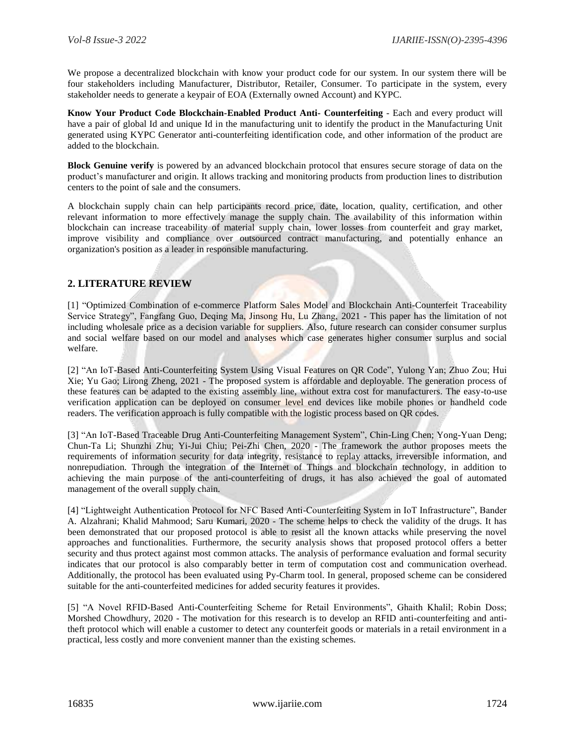We propose a decentralized blockchain with know your product code for our system. In our system there will be four stakeholders including Manufacturer, Distributor, Retailer, Consumer. To participate in the system, every stakeholder needs to generate a keypair of EOA (Externally owned Account) and KYPC.

**Know Your Product Code Blockchain-Enabled Product Anti- Counterfeiting** - Each and every product will have a pair of global Id and unique Id in the manufacturing unit to identify the product in the Manufacturing Unit generated using KYPC Generator anti-counterfeiting identification code, and other information of the product are added to the blockchain.

**Block Genuine verify** is powered by an advanced blockchain protocol that ensures secure storage of data on the product's manufacturer and origin. It allows tracking and monitoring products from production lines to distribution centers to the point of sale and the consumers.

A blockchain supply chain can help participants record price, date, location, quality, certification, and other relevant information to more effectively manage the supply chain. The availability of this information within blockchain can increase traceability of material supply chain, lower losses from counterfeit and gray market, improve visibility and compliance over outsourced contract manufacturing, and potentially enhance an organization's position as a leader in responsible manufacturing.

# **2. LITERATURE REVIEW**

[1] "Optimized Combination of e-commerce Platform Sales Model and Blockchain Anti-Counterfeit Traceability Service Strategy", Fangfang Guo, Deqing Ma, Jinsong Hu, Lu Zhang, 2021 - This paper has the limitation of not including wholesale price as a decision variable for suppliers. Also, future research can consider consumer surplus and social welfare based on our model and analyses which case generates higher consumer surplus and social welfare.

[2] "An IoT-Based Anti-Counterfeiting System Using Visual Features on QR Code", Yulong Yan; Zhuo Zou; Hui Xie; Yu Gao; Lirong Zheng, 2021 - The proposed system is affordable and deployable. The generation process of these features can be adapted to the existing assembly line, without extra cost for manufacturers. The easy-to-use verification application can be deployed on consumer level end devices like mobile phones or handheld code readers. The verification approach is fully compatible with the logistic process based on QR codes.

[3] "An IoT-Based Traceable Drug Anti-Counterfeiting Management System", Chin-Ling Chen; Yong-Yuan Deng; Chun-Ta Li; Shunzhi Zhu; Yi-Jui Chiu; Pei-Zhi Chen, 2020 - The framework the author proposes meets the requirements of information security for data integrity, resistance to replay attacks, irreversible information, and nonrepudiation. Through the integration of the Internet of Things and blockchain technology, in addition to achieving the main purpose of the anti-counterfeiting of drugs, it has also achieved the goal of automated management of the overall supply chain.

[4] "Lightweight Authentication Protocol for NFC Based Anti-Counterfeiting System in IoT Infrastructure", Bander A. Alzahrani; Khalid Mahmood; Saru Kumari, 2020 - The scheme helps to check the validity of the drugs. It has been demonstrated that our proposed protocol is able to resist all the known attacks while preserving the novel approaches and functionalities. Furthermore, the security analysis shows that proposed protocol offers a better security and thus protect against most common attacks. The analysis of performance evaluation and formal security indicates that our protocol is also comparably better in term of computation cost and communication overhead. Additionally, the protocol has been evaluated using Py-Charm tool. In general, proposed scheme can be considered suitable for the anti-counterfeited medicines for added security features it provides.

[5] "A Novel RFID-Based Anti-Counterfeiting Scheme for Retail Environments", Ghaith Khalil; Robin Doss; Morshed Chowdhury, 2020 - The motivation for this research is to develop an RFID anti-counterfeiting and antitheft protocol which will enable a customer to detect any counterfeit goods or materials in a retail environment in a practical, less costly and more convenient manner than the existing schemes.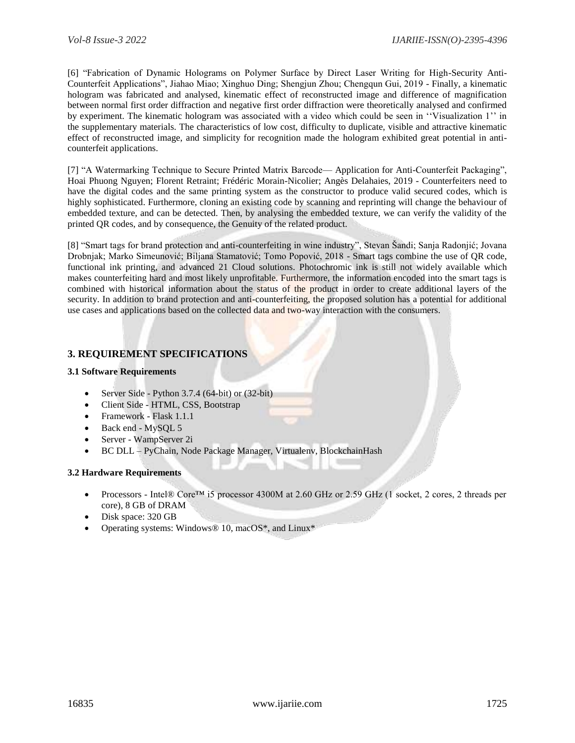[6] "Fabrication of Dynamic Holograms on Polymer Surface by Direct Laser Writing for High-Security Anti-Counterfeit Applications", Jiahao Miao; Xinghuo Ding; Shengjun Zhou; Chengqun Gui, 2019 - Finally, a kinematic hologram was fabricated and analysed, kinematic effect of reconstructed image and difference of magnification between normal first order diffraction and negative first order diffraction were theoretically analysed and confirmed by experiment. The kinematic hologram was associated with a video which could be seen in ''Visualization 1'' in the supplementary materials. The characteristics of low cost, difficulty to duplicate, visible and attractive kinematic effect of reconstructed image, and simplicity for recognition made the hologram exhibited great potential in anticounterfeit applications.

[7] "A Watermarking Technique to Secure Printed Matrix Barcode— Application for Anti-Counterfeit Packaging", Hoai Phuong Nguyen; Florent Retraint; Frédéric Morain-Nicolier; Angès Delahaies, 2019 - Counterfeiters need to have the digital codes and the same printing system as the constructor to produce valid secured codes, which is highly sophisticated. Furthermore, cloning an existing code by scanning and reprinting will change the behaviour of embedded texture, and can be detected. Then, by analysing the embedded texture, we can verify the validity of the printed QR codes, and by consequence, the Genuity of the related product.

[8] "Smart tags for brand protection and anti-counterfeiting in wine industry", Stevan Šandi; Sanja Radonjić; Jovana Drobnjak; Marko Simeunović; Biljana Stamatović; Tomo Popović, 2018 - Smart tags combine the use of QR code, functional ink printing, and advanced 21 Cloud solutions. Photochromic ink is still not widely available which makes counterfeiting hard and most likely unprofitable. Furthermore, the information encoded into the smart tags is combined with historical information about the status of the product in order to create additional layers of the security. In addition to brand protection and anti-counterfeiting, the proposed solution has a potential for additional use cases and applications based on the collected data and two-way interaction with the consumers.

# **3. REQUIREMENT SPECIFICATIONS**

# **3.1 Software Requirements**

- Server Side Python 3.7.4 (64-bit) or (32-bit)
- Client Side HTML, CSS, Bootstrap
- Framework Flask 1.1.1
- Back end MySQL 5
- Server WampServer 2i
- BC DLL PyChain, Node Package Manager, Virtualenv, BlockchainHash

# **3.2 Hardware Requirements**

- Processors Intel® Core™ i5 processor 4300M at 2.60 GHz or 2.59 GHz (1 socket, 2 cores, 2 threads per core), 8 GB of DRAM
- Disk space: 320 GB
- Operating systems: Windows® 10, macOS\*, and Linux\*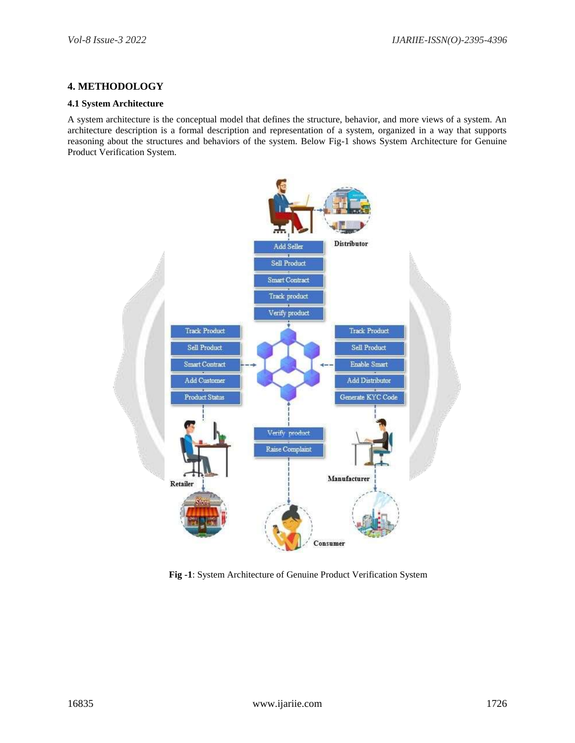# **4. METHODOLOGY**

#### **4.1 System Architecture**

A system architecture is the conceptual model that defines the structure, behavior, and more views of a system. An architecture description is a formal description and representation of a system, organized in a way that supports reasoning about the structures and behaviors of the system. Below Fig-1 shows System Architecture for Genuine Product Verification System.



**Fig -1**: System Architecture of Genuine Product Verification System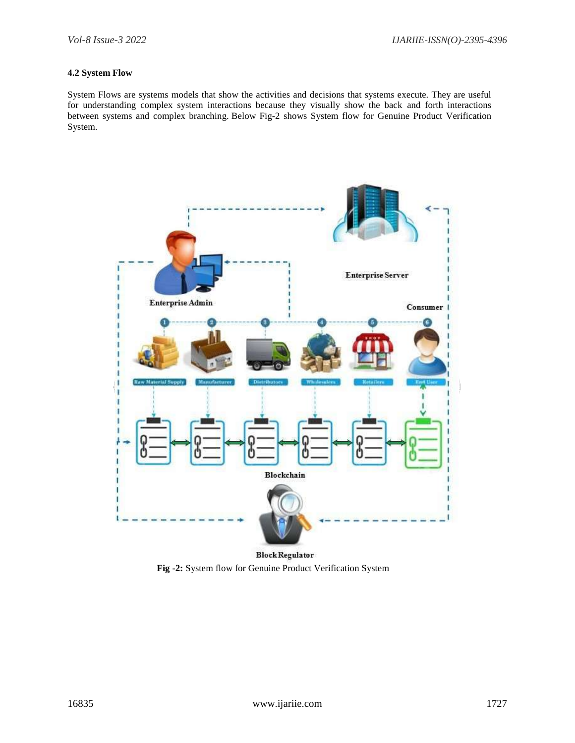# **4.2 System Flow**

System Flows are systems models that show the activities and decisions that systems execute. They are useful for understanding complex system interactions because they visually show the back and forth interactions between systems and complex branching. Below Fig-2 shows System flow for Genuine Product Verification System.



 **Fig -2:** System flow for Genuine Product Verification System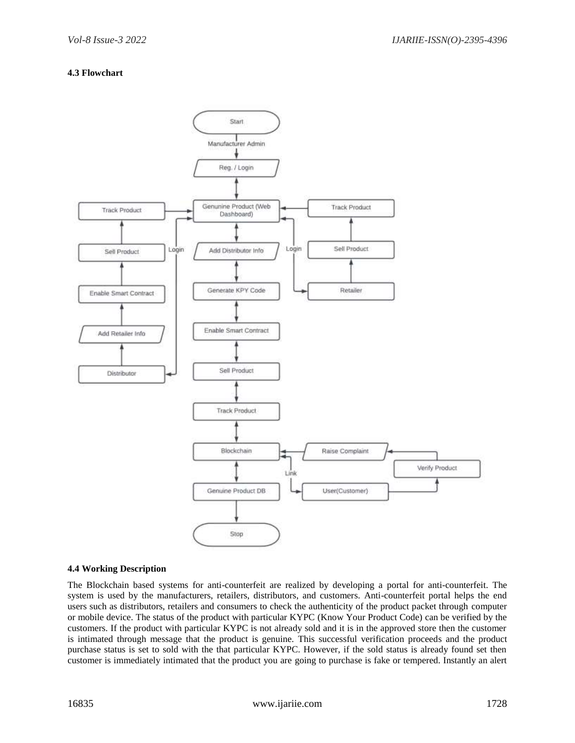# **4.3 Flowchart**



#### **4.4 Working Description**

The Blockchain based systems for anti-counterfeit are realized by developing a portal for anti-counterfeit. The system is used by the manufacturers, retailers, distributors, and customers. Anti-counterfeit portal helps the end users such as distributors, retailers and consumers to check the authenticity of the product packet through computer or mobile device. The status of the product with particular KYPC (Know Your Product Code) can be verified by the customers. If the product with particular KYPC is not already sold and it is in the approved store then the customer is intimated through message that the product is genuine. This successful verification proceeds and the product purchase status is set to sold with the that particular KYPC. However, if the sold status is already found set then customer is immediately intimated that the product you are going to purchase is fake or tempered. Instantly an alert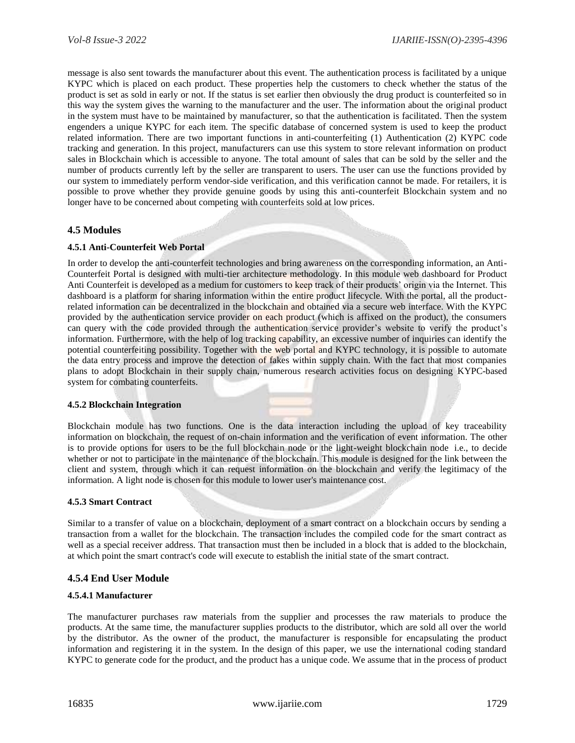message is also sent towards the manufacturer about this event. The authentication process is facilitated by a unique KYPC which is placed on each product. These properties help the customers to check whether the status of the product is set as sold in early or not. If the status is set earlier then obviously the drug product is counterfeited so in this way the system gives the warning to the manufacturer and the user. The information about the original product in the system must have to be maintained by manufacturer, so that the authentication is facilitated. Then the system engenders a unique KYPC for each item. The specific database of concerned system is used to keep the product related information. There are two important functions in anti-counterfeiting (1) Authentication (2) KYPC code tracking and generation. In this project, manufacturers can use this system to store relevant information on product sales in Blockchain which is accessible to anyone. The total amount of sales that can be sold by the seller and the number of products currently left by the seller are transparent to users. The user can use the functions provided by our system to immediately perform vendor-side verification, and this verification cannot be made. For retailers, it is possible to prove whether they provide genuine goods by using this anti-counterfeit Blockchain system and no longer have to be concerned about competing with counterfeits sold at low prices.

# **4.5 Modules**

# **4.5.1 Anti-Counterfeit Web Portal**

In order to develop the anti-counterfeit technologies and bring awareness on the corresponding information, an Anti-Counterfeit Portal is designed with multi-tier architecture methodology. In this module web dashboard for Product Anti Counterfeit is developed as a medium for customers to keep track of their products' origin via the Internet. This dashboard is a platform for sharing information within the entire product lifecycle. With the portal, all the productrelated information can be decentralized in the blockchain and obtained via a secure web interface. With the KYPC provided by the authentication service provider on each product (which is affixed on the product), the consumers can query with the code provided through the authentication service provider's website to verify the product's information. Furthermore, with the help of log tracking capability, an excessive number of inquiries can identify the potential counterfeiting possibility. Together with the web portal and KYPC technology, it is possible to automate the data entry process and improve the detection of fakes within supply chain. With the fact that most companies plans to adopt Blockchain in their supply chain, numerous research activities focus on designing KYPC-based system for combating counterfeits.

# **4.5.2 Blockchain Integration**

Blockchain module has two functions. One is the data interaction including the upload of key traceability information on blockchain, the request of on-chain information and the verification of event information. The other is to provide options for users to be the full blockchain node or the light-weight blockchain node i.e., to decide whether or not to participate in the maintenance of the blockchain. This module is designed for the link between the client and system, through which it can request information on the blockchain and verify the legitimacy of the information. A light node is chosen for this module to lower user's maintenance cost.

#### **4.5.3 Smart Contract**

Similar to a transfer of value on a blockchain, deployment of a smart contract on a blockchain occurs by sending a transaction from a wallet for the blockchain. The transaction includes the compiled code for the smart contract as well as a special receiver address. That transaction must then be included in a block that is added to the blockchain, at which point the smart contract's code will execute to establish the initial state of the smart contract.

# **4.5.4 End User Module**

#### **4.5.4.1 Manufacturer**

The manufacturer purchases raw materials from the supplier and processes the raw materials to produce the products. At the same time, the manufacturer supplies products to the distributor, which are sold all over the world by the distributor. As the owner of the product, the manufacturer is responsible for encapsulating the product information and registering it in the system. In the design of this paper, we use the international coding standard KYPC to generate code for the product, and the product has a unique code. We assume that in the process of product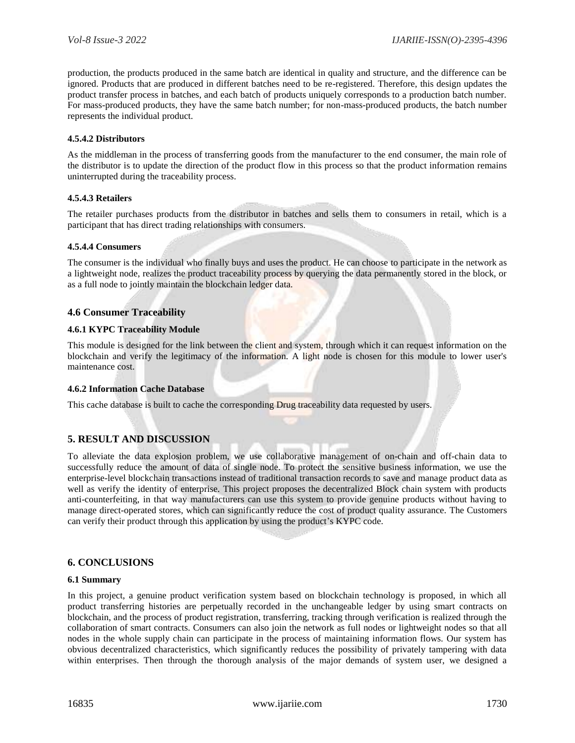production, the products produced in the same batch are identical in quality and structure, and the difference can be ignored. Products that are produced in different batches need to be re-registered. Therefore, this design updates the product transfer process in batches, and each batch of products uniquely corresponds to a production batch number. For mass-produced products, they have the same batch number; for non-mass-produced products, the batch number represents the individual product.

#### **4.5.4.2 Distributors**

As the middleman in the process of transferring goods from the manufacturer to the end consumer, the main role of the distributor is to update the direction of the product flow in this process so that the product information remains uninterrupted during the traceability process.

#### **4.5.4.3 Retailers**

The retailer purchases products from the distributor in batches and sells them to consumers in retail, which is a participant that has direct trading relationships with consumers.

#### **4.5.4.4 Consumers**

The consumer is the individual who finally buys and uses the product. He can choose to participate in the network as a lightweight node, realizes the product traceability process by querying the data permanently stored in the block, or as a full node to jointly maintain the blockchain ledger data.

# **4.6 Consumer Traceability**

#### **4.6.1 KYPC Traceability Module**

This module is designed for the link between the client and system, through which it can request information on the blockchain and verify the legitimacy of the information. A light node is chosen for this module to lower user's maintenance cost.

#### **4.6.2 Information Cache Database**

This cache database is built to cache the corresponding Drug traceability data requested by users.

# **5. RESULT AND DISCUSSION**

To alleviate the data explosion problem, we use collaborative management of on-chain and off-chain data to successfully reduce the amount of data of single node. To protect the sensitive business information, we use the enterprise-level blockchain transactions instead of traditional transaction records to save and manage product data as well as verify the identity of enterprise. This project proposes the decentralized Block chain system with products anti-counterfeiting, in that way manufacturers can use this system to provide genuine products without having to manage direct-operated stores, which can significantly reduce the cost of product quality assurance. The Customers can verify their product through this application by using the product's KYPC code.

# **6. CONCLUSIONS**

#### **6.1 Summary**

In this project, a genuine product verification system based on blockchain technology is proposed, in which all product transferring histories are perpetually recorded in the unchangeable ledger by using smart contracts on blockchain, and the process of product registration, transferring, tracking through verification is realized through the collaboration of smart contracts. Consumers can also join the network as full nodes or lightweight nodes so that all nodes in the whole supply chain can participate in the process of maintaining information flows. Our system has obvious decentralized characteristics, which significantly reduces the possibility of privately tampering with data within enterprises. Then through the thorough analysis of the major demands of system user, we designed a